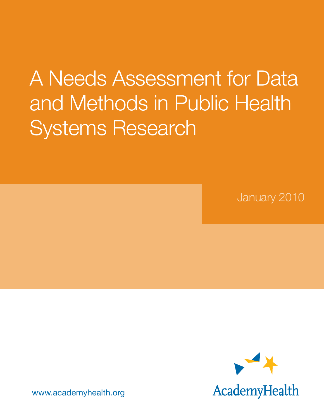# A Needs Assessment for Data and Methods in Public Health Systems Research

January 2010



www.academyhealth.org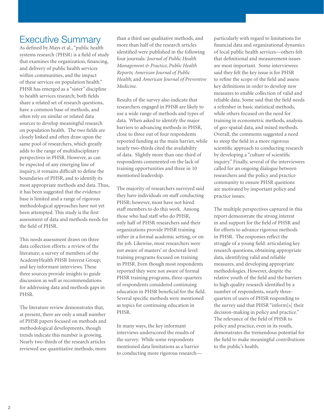## Executive Summary

As defined by Mays et al., "public health systems research (PHSR) is a field of study that examines the organization, financing, and delivery of public health services within communities, and the impact of these services on population health." PHSR has emerged as a "sister" discipline to health services research; both fields share a related set of research questions, have a common base of methods, and often rely on similar or related data sources to develop meaningful research on population health. The two fields are closely linked and often draw upon the same pool of researchers, which greatly adds to the range of multidisciplinary perspectives in PHSR. However, as can be expected of any emerging line of inquiry, it remains difficult to define the boundaries of PHSR, and to identify its most appropriate methods and data. Thus, it has been suggested that the evidence base is limited and a range of rigorous methodological approaches have not yet been attempted. This study is the first assessment of data and methods needs for the field of PHSR.

This needs assessment draws on three data collection efforts: a review of the literature; a survey of members of the AcademyHealth PHSR Interest Group; and key informant interviews. These three sources provide insights to guide discussion as well as recommendations for addressing data and methods gaps in PHSR.

The literature review demonstrates that, at present, there are only a small number of PHSR papers focused on methods and methodological developments, though trends indicate this number is growing. Nearly two-thirds of the research articles reviewed use quantitative methods, more

than a third use qualitative methods, and more than half of the research articles identified were published in the following four journals: *Journal of Public Health Management & Practice*; *Public Health Reports*; *American Journal of Public Health*; and *American Journal of Preventive Medicine*.

Results of the survey also indicate that researchers engaged in PHSR are likely to use a wide range of methods and types of data. When asked to identify the major barriers to advancing methods in PHSR, close to three out of four respondents reported funding as the main barrier, while nearly two-thirds cited the availability of data. Slightly more than one-third of respondents commented on the lack of training opportunities and three in 10 mentioned leadership.

The majority of researchers surveyed said they have individuals on staff conducting PHSR; however, most have not hired staff members to do this work. Among those who had staff who do PHSR, only half of PHSR researchers said their organizations provide PHSR training either in a formal academic setting, or on the job. Likewise, most researchers were not aware of masters' or doctoral-level training programs focused on training in PHSR. Even though most respondents reported they were not aware of formal PHSR training programs, three-quarters of respondents considered continuing education in PHSR beneficial for the field. Several specific methods were mentioned as topics for continuing education in PHSR.

In many ways, the key informant interviews underscored the results of the survey. While some respondents mentioned data limitations as a barrier to conducting more rigorous researchparticularly with regard to limitations for financial data and organizational dynamics of local public health services—others felt that definitional and measurement issues are most important. Some interviewees said they felt the key issue is for PHSR to refine the scope of the field and assess key definitions in order to develop new measures to enable collection of valid and reliable data. Some said that the field needs a refresher in basic statistical methods, while others focused on the need for training in econometric methods, analysis of geo-spatial data, and mixed methods. Overall, the comments suggested a need to steep the field in a more rigorous scientific approach to conducting research by developing a "culture of scientific inquiry." Finally, several of the interviewees called for an ongoing dialogue between researchers and the policy and practice community to ensure PHSR questions are motivated by important policy and practice issues.

The multiple perspectives captured in this report demonstrate the strong interest in and support for the field of PHSR and for efforts to advance rigorous methods in PHSR. The responses reflect the struggle of a young field: articulating key research questions, obtaining appropriate data, identifying valid and reliable measures, and developing appropriate methodologies. However, despite the relative youth of the field and the barriers to high quality research identified by a number of respondents, nearly threequarters of users of PHSR responding to the survey said that PHSR "inform[s] their decision-making in policy and practice." The relevance of the field of PHSR to policy and practice, even in its youth, demonstrates the tremendous potential for the field to make meaningful contributions to the public's health.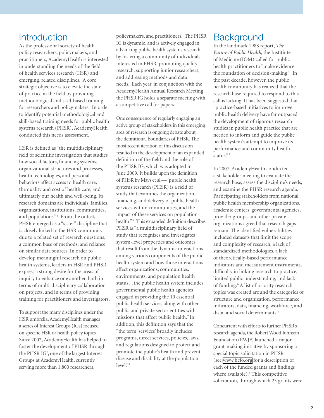## **Introduction**

As the professional society of health policy researchers, policymakers, and practitioners, AcademyHealth is interested in understanding the needs of the field of health services research (HSR) and emerging, related disciplines. A core strategic objective is to elevate the state of practice in the field by providing methodological and skill-based training for researchers and policymakers. In order to identify potential methodological and skill-based training needs for public health systems research (PHSR), AcademyHealth conducted this needs assessment.

HSR is defined as "the multidisciplinary field of scientific investigation that studies how social factors, financing systems, organizational structures and processes, health technologies, and personal behaviors affect access to health care, the quality and cost of health care, and ultimately our health and well-being. Its research domains are individuals, families, organizations, institutions, communities, and populations."<sup>1</sup> From the outset, PHSR emerged as a "sister" discipline that is closely linked to the HSR community due to a related set of research questions, a common base of methods, and reliance on similar data sources. In order to develop meaningful research on public health systems, leaders in HSR and PHSR express a strong desire for the areas of inquiry to enhance one another, both in terms of multi-disciplinary collaboration on projects, and in terms of providing training for practitioners and investigators.

To support the many disciplines under the HSR umbrella, AcademyHealth manages a series of Interest Groups (IGs) focused on specific HSR or health policy topics. Since 2002, AcademyHealth has helped to foster the development of PHSR through the PHSR IG<sup>2</sup>, one of the largest Interest Groups at AcademyHealth, currently serving more than 1,800 researchers,

policymakers, and practitioners. The PHSR IG is dynamic, and is actively engaged in advancing public health systems research by fostering a community of individuals interested in PHSR, promoting quality research, supporting junior researchers, and addressing methods and data needs. Each year, in conjunction with the AcademyHealth Annual Research Meeting, the PHSR IG holds a separate meeting with a competitive call for papers.

One consequence of regularly engaging an active group of stakeholders in this emerging area of research is ongoing debate about the definitional boundaries of PHSR. The most recent iteration of this discussion resulted in the development of an expanded definition of the field and the role of the PHSR IG, which was adopted in June 2009. It builds upon the definition of PHSR by Mays et al.—"public health systems research (PHSR) is a field of study that examines the organization, financing, and delivery of public health services within communities, and the impact of these services on population health."3 This expanded definition describes PHSR as "a multidisciplinary field of study that recognizes and investigates system-level properties and outcomes that result from the dynamic interactions among various components of the public health system and how those interactions affect organizations, communities, environments, and population health status…the public health system includes governmental public health agencies engaged in providing the 10 essential public health services, along with other public and private sector entities with missions that affect public health." In addition, this definition says that the "the term 'services' broadly includes programs, direct services, policies, laws, and regulations designed to protect and promote the public's health and prevent disease and disability at the population level."4

### **Background**

In the landmark 1988 report, *The Future of Public Health*, the Institiute of Medicine (IOM) called for public health practitioners to "make evidence the foundation of decision-making." In the past decade, however, the public health community has realized that the research base required to respond to this call is lacking. It has been suggested that "practice-based initiatives to improve public health delivery have far outpaced the development of rigorous research studies in public health practice that are needed to inform and guide the public health system's attempt to improve its performance and community health status."5

In 2007, AcademyHealth conducted a stakeholder meeting to evaluate the research base, assess the discipline's needs, and examine the PHSR research agenda. Participating stakeholders from national public health membership organizations, academic centers, governmental agencies, provider groups, and other private organizations agreed that research gaps remain. The identified vulnerabilities included datasets that limit the scope and complexity of research, a lack of standardized methodologies, a lack of theoretically-based performance indicators and measurement instruments, difficulty in linking research to practice, limited public understanding, and lack of funding.<sup>6</sup> A list of priority research topics was created around the categories of structure and organization, performance indicators, data, financing, workforce, and distal and social determinants.7

Concurrent with efforts to further PHSR's research agenda, the Robert Wood Johnson Foundation (RWJF) launched a major grant-making initiative by sponsoring a special topic solicitation in PHSR (see [www.hcfo.org](http://www.hcfo.org) for a description of each of the funded grants and findings where available).<sup>8</sup> This competitive solicitation, through which 23 grants were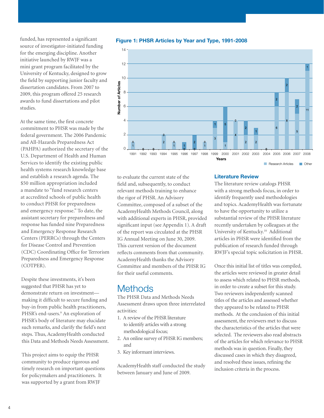funded, has represented a significant source of investigator-initiated funding for the emerging discipline. Another initiative launched by RWJF was a mini grant program facilitated by the University of Kentucky, designed to grow the field by supporting junior faculty and dissertation candidates. From 2007 to 2009, this program offered 25 research awards to fund dissertations and pilot studies.

At the same time, the first concrete commitment to PHSR was made by the federal government. The 2006 Pandemic and All-Hazards Preparedness Act (PAHPA) authorized the secretary of the U.S. Department of Health and Human Services to identify the existing public health systems research knowledge base and establish a research agenda. The \$50 million appropriation included a mandate to "fund research centers at accredited schools of public health to conduct PHSR for preparedness and emergency response." To date, the assistant secretary for preparedness and response has funded nine Preparedness and Emergency Response Research Centers (PERRCs) through the Centers for Disease Control and Prevention (CDC) Coordinating Office for Terrorism Preparedness and Emergency Response (COTPER).

Despite these investments, it's been suggested that PHSR has yet to demonstrate return on investment making it difficult to secure funding and buy-in from public health practitioners, PHSR's end-users.<sup>9</sup> An exploration of PHSR's body of literature may elucidate such remarks, and clarify the field's next steps. Thus, AcademyHealth conducted this Data and Methods Needs Assessment.

This project aims to equip the PHSR community to produce rigorous and timely research on important questions for policymakers and practitioners. It was supported by a grant from RWJF



#### Figure 1: PHSR Articles by Year and Type, 1991-2008

to evaluate the current state of the field and, subsequently, to conduct relevant methods training to enhance the rigor of PHSR. An Advisory Committee, composed of a subset of the AcademyHealth Methods Council, along with additional experts in PHSR, provided significant input (see Appendix 1). A draft of the report was circulated at the PHSR IG Annual Meeting on June 30, 2009. This current version of the document reflects comments from that community. AcademyHealth thanks the Advisory Committee and members of the PHSR IG for their useful comments.

## **Methods**

The PHSR Data and Methods Needs Assessment draws upon three interrelated activities:

- 1. A review of the PHSR literature to identify articles with a strong methodological focus;
- 2. An online survey of PHSR IG members; and
- 3. Key informant interviews.

AcademyHealth staff conducted the study between January and June of 2009.

#### Literature Review

The literature review catalogs PHSR with a strong methods focus, in order to identify frequently used methodologies and topics. AcademyHealth was fortunate to have the opportunity to utilize a substantial review of the PHSR literature recently undertaken by colleagues at the University of Kentucky.10 Additional articles in PHSR were identified from the publication of research funded through RWJF's special topic solicitation in PHSR.

Research Articles **Communist Property** 

Once this initial list of titles was compiled, the articles were reviewed in greater detail to assess which related to PHSR methods, in order to create a subset for this study. Two reviewers independently scanned titles of the articles and assessed whether they appeared to be related to PHSR methods. At the conclusion of this initial assessment, the reviewers met to discuss the characteristics of the articles that were selected. The reviewers also read abstracts of the articles for which relevance to PHSR methods was in question. Finally, they discussed cases in which they disagreed, and resolved these issues, refining the inclusion criteria in the process.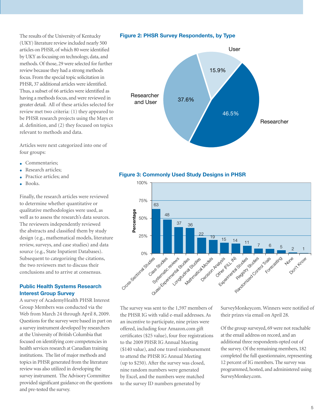The results of the University of Kentucky (UKY) literature review included nearly 500 articles on PHSR, of which 80 were identified by UKY as focusing on technology, data, and methods. Of those, 29 were selected for further review because they had a strong methods focus. From the special topic solicitation in PHSR, 37 additional articles were identified. Thus, a subset of 66 articles were identified as having a methods focus, and were reviewed in greater detail. All of these articles selected for review met two criteria: (1) they appeared to be PHSR research projects using the Mays et al. definition, and (2) they focused on topics relevant to methods and data.

Articles were next categorized into one of four groups:

- Commentaries;
- Research articles;
- Practice articles; and
- Books.

Finally, the research articles were reviewed to determine whether quantitative or qualitative methodologies were used, as well as to assess the research's data sources. The reviewers independently reviewed the abstracts and classified them by study design (e.g., mathematical models, literature review, surveys, and case studies) and data source (e.g., State Inpatient Databases). Subsequent to categorizing the citations, the two reviewers met to discuss their conclusions and to arrive at consensus.

#### Public Health Systems Research Interest Group Survey

A survey of AcademyHealth PHSR Interest Group Members was conducted via the Web from March 24 through April 8, 2009. Questions for the survey were based in part on a survey instrument developed by researchers at the University of British Columbia that focused on identifying core competencies in health services research at Canadian training institutions. The list of major methods and topics in PHSR generated from the literature review was also utilized in developing the survey instrument. The Advisory Committee provided significant guidance on the questions and pre-tested the survey.









The survey was sent to the 1,597 members of the PHSR IG with valid e-mail addresses. As an incentive to participate, nine prizes were offered, including four Amazon.com gift certificates (\$25 value), four free registrations to the 2009 PHSR IG Annual Meeting (\$140 value), and one travel reimbursement to attend the PHSR IG Annual Meeting (up to \$250). After the survey was closed, nine random numbers were generated by Excel, and the numbers were matched to the survey ID numbers generated by

SurveyMonkeycom. Winners were notified of their prizes via email on April 28.

Of the group surveyed, 69 were not reachable at the email address on record, and an additional three respondents opted out of the survey. Of the remaining members, 182 completed the full questionnaire, representing 12 percent of IG members. The survey was programmed, hosted, and administered using SurveyMonkey.com.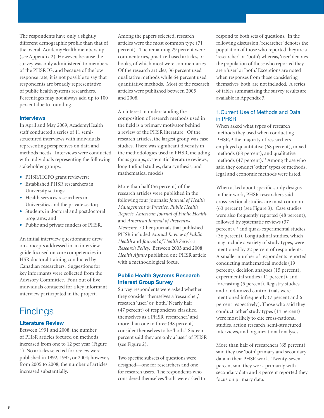The respondents have only a slightly different demographic profile than that of the overall AcademyHealth membership (see Appendix 2). However, because the survey was only administered to members of the PHSR IG, and because of the low response rate, it is not possible to say that respondents are broadly representative of public health systems researchers. Percentages may not always add up to 100 percent due to rounding.

#### Interviews

In April and May 2009, AcademyHealth staff conducted a series of 11 semistructured interviews with individuals representing perspectives on data and methods needs. Interviews were conducted with individuals representing the following stakeholder groups:

- PHSR/HCFO grant reviewers;
- Established PHSR researchers in University settings;
- Health services researchers in Universities and the private sector;
- Students in doctoral and postdoctoral programs; and
- Public and private funders of PHSR.

An initial interview questionnaire drew on concepts addressed in an interview guide focused on core competencies in HSR doctoral training conducted by Canadian researchers. Suggestions for key informants were collected from the Advisory Committee. Four out of five individuals contacted for a key informant interview participated in the project.

# **Findings**

#### Literature Review

Between 1991 and 2008, the number of PHSR articles focused on methods increased from one to 12 per year (Figure 1). No articles selected for review were published in 1992, 1993, or 2004; however, from 2005 to 2008, the number of articles increased substantially.

Among the papers selected, research articles were the most common type (71 percent). The remaining 29 percent were commentaries, practice-based articles, or books, of which most were commentaries. Of the research articles, 36 percent used qualitative methods while 64 percent used quantitative methods. Most of the research articles were published between 2005 and 2008.

An interest in understanding the composition of research methods used in the field is a primary motivator behind a review of the PHSR literature. Of the research articles, the largest group was case studies. There was significant diversity in the methodologies used in PHSR, including focus groups, systematic literature reviews, longitudinal studies, data synthesis, and mathematical models.

More than half (56 percent) of the research articles were published in the following four journals: *Journal of Health Management & Practice*, *Public Health Reports*, *American Journal of Public Health*, and *American Journal of Preventive Medicine*. Other journals that published PHSR included *Annual Review of Public Health* and *Journal of Health Services Research Policy*. Between 2003 and 2008, *Health Affairs* published one PHSR article with a methodological focus.

#### Public Health Systems Research Interest Group Survey

Survey respondents were asked whether they consider themselves a 'researcher,' research 'user,' or 'both.' Nearly half (47 percent) of respondents classified themselves as a PHSR 'researcher,' and more than one in three (38 percent) consider themselves to be 'both.' Sixteen percent said they are only a 'user' of PHSR (see Figure 2).

Two specific subsets of questions were designed—one for researchers and one for research users. The respondents who considered themselves 'both' were asked to respond to both sets of questions. In the following discussion, 'researcher' denotes the population of those who reported they are a 'researcher' or 'both'; whereas, 'user' denotes the population of those who reported they are a 'user' or 'both.' Exceptions are noted when responses from those considering themselves 'both' are not included. A series of tables summarizing the survey results are available in Appendix 3.

#### 1.Current Use of Methods and Data in PHSR

When asked what types of research methods they used when conducting PHSR,<sup>11</sup> the majority of researchers employed quantitative (68 percent), mixed methods (68 percent), and qualitative methods  $(47$  percent).<sup>12</sup> Among those who said they conduct 'other' types of methods, legal and economic methods were listed.

When asked about specific study designs in their work, PHSR researchers said cross-sectional studies are most common (63 percent) (see Figure 3). Case studies were also frequently reported (48 percent), followed by systematic reviews (37 percent),<sup>13</sup> and quasi-experimental studies (36 percent). Longitudinal studies, which may include a variety of study types, were mentioned by 22 percent of respondents. A smaller number of respondents reported conducting mathematical models (19 percent), decision analyses (15 percent), experimental studies (11 percent), and forecasting (5 percent). Registry studies and randomized control trials were mentioned infrequently (7 percent and 6 percent respectively). Those who said they conduct 'other' study types (14 percent) were most likely to cite cross-national studies, action research, semi-structured interviews, and organizational analyses.

More than half of researchers (65 percent) said they use 'both' primary and secondary data in their PHSR work. Twenty-seven percent said they work primarily with secondary data and 8 percent reported they focus on primary data.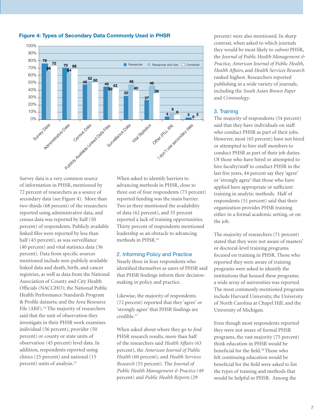

#### Figure 4: Types of Secondary Data Commonly Used in PHSR

Survey data is a very common source of information in PHSR, mentioned by 72 percent of researchers as a source of secondary data (see Figure 4). More than two-thirds (68 percent) of the researchers reported using administrative data, and census data was reported by half (50 percent) of respondents. Publicly available linked files were reported by less than half (43 percent), as was surveillance (40 percent) and vital statistics data (36 percent). Data from specific sources mentioned include non-publicly available linked data and death, birth, and cancer registries, as well as data from the National Association of County and City Health Officials (NACCHO); the National Public Health Performance Standards Program & Profile datasets; and the Area Resource File (ARF).<sup>14</sup> The majority of researchers said that the unit of observation they investigate in their PHSR work examines individual (56 percent), provider (50 percent) or county or state units of observation (45 percent) level data. In addition, respondents reported using clinics (25 percent) and national (15 percent) units of analysis.15

When asked to identify barriers to advancing methods in PHSR, close to three out of four respondents (73 percent) reported funding was the main barrier. Two in three mentioned the availability of data (62 percent), and 35 percent reported a lack of training opportunities. Thirty percent of respondents mentioned leadership as an obstacle to advancing methods in PHSR.16

#### 2. Informing Policy and Practice

Nearly three in four respondents who identified themselves as users of PHSR said that PHSR findings inform their decisionmaking in policy and practice.

Likewise, the majority of respondents (72 percent) reported that they 'agree' or 'strongly agree' that PHSR findings are credible.17

When asked about where they go to *find* PHSR research results, more than half of the researchers said *Health Affairs* (63 percent), the *American Journal of Public Health* (60 percent), and *Health Services Research* (53 percent). The *Journal of Public Health Management & Practice* (49 percent) and *Public Health Reports* (29

percent) were also mentioned. In sharp contrast, when asked to which journals they would be most likely to *submit* PHSR, the *Journal of Public Health Management & Practice*, *American Journal of Public Health*, *Health Affairs*, and *Health Services Research* ranked highest. Researchers reported publishing in a wide variety of journals, including the *South Asian Brown Paper* and *Criminology*.

#### 3. Training

The majority of respondents (54 percent) said that they have individuals on staff who conduct PHSR as part of their jobs. However, most (65 percent) have not hired or attempted to hire staff members to conduct PHSR as part of their job duties. Of those who have hired or attempted to hire faculty/staff to conduct PHSR in the last five years, 44 percent say they 'agree' or 'strongly agree' that those who have applied have appropriate or sufficient training in analytic methods. Half of respondents (51 percent) said that their organization provides PHSR training either in a formal academic setting, or on the job.

The majority of researchers (71 percent) stated that they were not aware of masters' or doctoral-level training programs focused on training in PHSR. Those who reported they were aware of training programs were asked to identify the institutions that housed these programs; a wide array of universities was reported. The most commonly mentioned programs include Harvard University, the University of North Carolina at Chapel Hill, and the University of Michigan.

Even though most respondents reported they were not aware of formal PHSR programs, the vast majority (75 percent) think education in PHSR would be beneficial for the field.18 Those who felt continuing education would be beneficial for the field were asked to list the types of training and methods that would be helpful in PHSR. Among the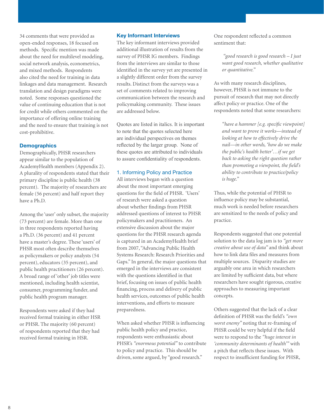34 comments that were provided as open-ended responses, 18 focused on methods. Specific mention was made about the need for multilevel modeling, social network analysis, econometrics, and mixed methods. Respondents also cited the need for training in data linkages and data management. Research translation and design paradigms were noted. Some responses questioned the value of continuing education that is not for credit while others commented on the importance of offering online training and the need to ensure that training is not cost-prohibitive.

#### **Demographics**

Demographically, PHSR researchers appear similar to the population of AcademyHealth members (Appendix 2). A plurality of respondents stated that their primary discipline is public health (38 percent). The majority of researchers are female (56 percent) and half report they have a Ph.D.

Among the 'user' only subset, the majority (73 percent) are female. More than one in three respondents reported having a Ph.D. (36 percent) and 41 percent have a master's degree. These 'users' of PHSR most often describe themselves as policymakers or policy analysts (54 percent), educators (35 percent), and public health practitioners (26 percent). A broad range of 'other' job titles were mentioned, including health scientist, consumer, programming funder, and public health program manager.

Respondents were asked if they had received formal training in either HSR or PHSR. The majority (60 percent) of respondents reported that they had received formal training in HSR.

#### Key Informant Interviews

The key informant interviews provided additional illustration of results from the survey of PHSR IG members. Findings from the interviews are similar to those identified in the survey yet are presented in a slightly different order from the survey results. Distinct from the surveys was a set of comments related to improving communication between the research and policymaking community. These issues are addressed below.

Quotes are listed in italics. It is important to note that the quotes selected here are individual perspectives on themes reflected by the larger group. None of these quotes are attributed to individuals to assure confidentiality of respondents.

#### 1. Informing Policy and Practice

All interviews began with a question about the most important emerging questions for the field of PHSR. 'Users' of research were asked a question about whether findings from PHSR addressed questions of interest to PHSR policymakers and practitioners. An extensive discussion about the major questions for the PHSR research agenda is captured in an AcademyHealth brief from 2007, "Advancing Public Health Systems Research: Research Priorities and Gaps." In general, the major questions that emerged in the interviews are consistent with the questions identified in that brief, focusing on issues of public health financing, process and delivery of public health services, outcomes of public health interventions, and efforts to measure preparedness.

When asked whether PHSR is influencing public health policy and practice, respondents were enthusiastic about PHSR's *"enormous potential"* to contribute to policy and practice. This should be driven, some argued, by "good research."

One respondent reflected a common sentiment that:

> *"good research is good research – I just want good research, whether qualitative or quantitative."*

As with many research disciplines, however, PHSR is not immune to the pursuit of research that may not directly affect policy or practice. One of the respondents noted that some researchers:

*"have a hammer [e.g. specific viewpoint] and want to prove it works—instead of looking at how to effectively drive the nail—in other words, 'how do we make the public's health better'…if we get back to asking the right question rather than promoting a viewpoint, the field's ability to contribute to practice/policy is huge."* 

Thus, while the potential of PHSR to influence policy may be substantial, much work is needed before researchers are sensitized to the needs of policy and practice.

Respondents suggested that one potential solution to the data log jam is to *"get more creative about use of data"* and think about how to link data files and measures from multiple sources. Disparity studies are arguably one area in which researchers are limited by sufficient data, but where researchers have sought rigorous, creative approaches to measuring important concepts.

Others suggested that the lack of a clear definition of PHSR was the field's *"own worst enemy"* noting that re-framing of PHSR could be very helpful if the field were to respond to the *"huge interest in 'community determinants of health'"* with a pitch that reflects these issues. With respect to insufficient funding for PHSR,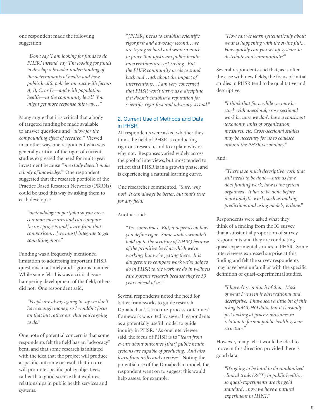one respondent made the following suggestion:

> *"Don't say 'I am looking for funds to do PHSR,' instead, say 'I'm looking for funds to develop a broader understanding of the determinants of health and how public health policies interact with factors A, B, C, or D—and with population health—at the community level.' You might get more response this way…"*

Many argue that it is critical that a body of targeted funding be made available to answer questions and *"allow for the compounding effect of research."* Viewed in another way, one respondent who was generally critical of the rigor of current studies expressed the need for multi-year investment because *"one study doesn't make a body of knowledge."* One respondent suggested that the research portfolio of the Practice Based Research Networks (PBRNs) could be used this way by asking them to each develop a:

*"methodological portfolio so you have common measures and can compare [across projects and] learn from that comparison…[we must] integrate to get something more."* 

Funding was a frequently mentioned limitation to addressing important PHSR questions in a timely and rigorous manner. While some felt this was a critical issue hampering development of the field, others did not. One respondent said,

*"People are always going to say we don't have enough money, so I wouldn't focus on that but rather on what you're going to do."*

One note of potential concern is that some respondents felt the field has an "advocacy" bent, and that some research is initiated with the idea that the project will produce a specific outcome or result that in turn will promote specific policy objectives, rather than good science that explores relationships in public health services and systems.

*"[PHSR] needs to establish scientific rigor first and advocacy second…we are trying so hard and want so much to prove that upstream public health interventions are cost-saving. But the PHSR community needs to stand back and…ask about the impact of interventions…I am very concerned that PHSR won't thrive as a discipline if it doesn't establish a reputation for scientific rigor first and advocacy second."*

#### 2. Current Use of Methods and Data in PHSR

All respondents were asked whether they think the field of PHSR is conducting rigorous research, and to explain why or why not. Responses varied widely across the pool of interviews, but most tended to reflect that PHSR is in a growth phase, and is experiencing a natural learning curve.

One researcher commented, *"Sure, why not? It can always be better, but that's true for any field."* 

#### Another said*:*

*"Yes, sometimes. But, it depends on how you define rigor. Some studies wouldn't hold up to the scrutiny of AHRQ because of the primitive level at which we're working, but we're getting there. It is dangerous to compare work we're able to do in PHSR to the work we do in wellness care systems research because they're 30 years ahead of us."* 

Several respondents noted the need for better frameworks to guide research. Donabedian's 'structure-process-outcomes' framework was cited by several respondents as a potentially useful model to guide inquiry in PHSR.19 As one interviewee said, the focus of PHSR is to "*learn from events about outcomes [that] public health systems are capable of producing. And also learn from drills and exercises."* Noting the potential use of the Donabedian model, the respondent went on to suggest this would help assess, for example:

*"How can we learn systematically about what is happening with the swine flu?... How quickly can you set up systems to distribute and communicate?"*

Several respondents said that, as is often the case with new fields, the focus of initial studies in PHSR tend to be qualitative and descriptive:

*"I think that for a while we may be stuck with anecdotal, cross-sectional work because we don't have a consistent taxonomy, units of organization, measures, etc. Cross-sectional studies may be necessary for us to coalesce around the PHSR vocabulary."*

And:

*"There is so much descriptive work that still needs to be done—such as how does funding work, how is the system organized. It has to be done before more analytic work, such as making predictions and using models, is done."*

Respondents were asked what they think of a finding from the IG survey that a substantial proportion of survey respondents said they are conducting quasi-experimental studies in PHSR. Some interviewees expressed surprise at this finding and felt the survey respondents may have been unfamiliar with the specific definition of quasi-experimental studies.

*"I haven't seen much of that. Most of what I've seen is observational and descriptive. I have seen a little bit of this using NACCHO data, but it is usually just looking at process outcomes in relation to formal public health system structure."* 

However, many felt it would be ideal to move in this direction provided there is good data:

*"It's going to be hard to do randomized clinical trials (RCT) in public health… so quasi-experiments are the gold standard…now we have a natural experiment in H1N1."*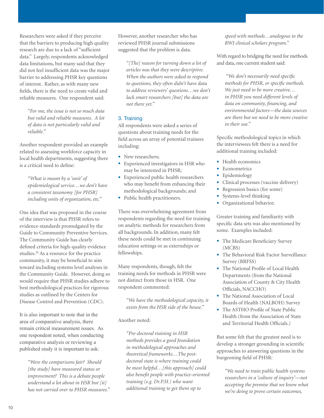Researchers were asked if they perceive that the barriers to producing high quality research are due to a lack of "sufficient data." Largely, respondents acknowledged data limitations, but many said that they did not feel insufficient data was the major barrier to addressing PHSR key questions of interest. Rather, as with many new fields, there is the need to create valid and reliable measures. One respondent said:

*"For me, the issue is not so much data but valid and reliable measures. A lot of data is not particularly valid and reliable."*

Another respondent provided an example related to assessing workforce capacity in local health departments, suggesting there is a critical need to define:

*"What is meant by a 'unit' of epidemiological service…we don't have a consistent taxonomy [for PHSR] including units of organization, etc."*

One idea that was proposed in the course of the interview is that PHSR refers to evidence-standards promulgated by the Guide to Community Preventive Services. The Community Guide has clearly defined criteria for high-quality evidence studies.20 As a resource for the practice community, it may be beneficial to aim toward including systems level analyses in the Community Guide. However, doing so would require that PHSR studies adhere to best methodological practices for rigorous studies as outlined by the Centers for Disease Control and Prevention (CDC).

It is also important to note that in the area of comparative analysis, there remain critical measurement issues. As one respondent noted, when conducting comparative analysis or reviewing a published study it is important to ask:

*"Were the comparisons fair? Should [the study] have measured status or improvement? This is a debate people understand a lot about in HSR but [it] has not carried over to PHSR measures."* However, another researcher who has reviewed PHSR journal submissions suggested that the problem is data.

*"[The] reason for turning down a lot of articles was that they were descriptive. When the authors were asked to respond to questions, they often didn't have data to address reviewers' questions…we don't lack smart researchers [but] the data are not there yet."*

#### 3. Training

All respondents were asked a series of questions about training needs for the field across an array of potential trainees including:

- New researchers;
- Experienced investigators in HSR who may be interested in PHSR;
- Experienced public health researchers who may benefit from enhancing their methodological backgrounds; and
- Public health practitioners.

There was overwhelming agreement from respondents regarding the need for training on analytic methods for researchers from all backgrounds. In addition, many felt these needs could be met in continuing education settings or as externships or fellowships.

Many respondents, though, felt the training needs for methods in PHSR were not distinct from those in HSR. One respondent commented:

*"We have the methodological capacity, it exists from the HSR side of the house."*

#### Another noted:

*"Pre-doctoral training in HSR methods provides a good foundation in methodological approaches and theoretical frameworks…The postdoctoral state is where training could be most helpful…[this approach] could also benefit people with practice-oriented training (e.g. Dr.P.H.) who want additional training to get them up to* 

*speed with methods…analogous to the RWJ clinical scholars program."*

With regard to bridging the need for methods and data, one current student said:

 *"We don't necessarily need specific methods for PHSR, or specific methods. We just need to be more creative… in PHSR you need different levels of data on community, financing, and environmental factors—the data sources are there but we need to be more creative in their use."*

Specific methodological topics in which the interviewees felt there is a need for additional training included:

- Health economics
- Econometrics
- Epidemiology
- Clinical processes (vaccine delivery)
- Regression basics (for some)
- Systems-level thinking
- Organizational behavior.

Greater training and familiarity with specific data sets was also mentioned by some. Examples included:

- The Medicare Beneficiary Survey (MCBS)
- The Behavioral Risk Factor Surveillance Survey (BRFSS)
- The National Profile of Local Health Departments (from the National Association of County & City Health Officials, NACCHO)
- The National Association of Local Boards of Health (NALBOH) Survey
- The ASTHO Profile of State Public Health (from the Association of State and Territorial Health Officials.)

But some felt that the greatest need is to develop a stronger grounding in scientific approaches to answering questions in the burgeoning field of PHSR:

*"We need to train public health systems researchers in a 'culture of inquiry'—not accepting the premise that we know what we're doing to prove certain outcomes,*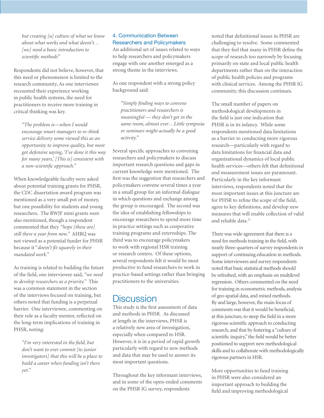*but creating [a] culture of what we know about what works and what doesn't… [we] need a basic introduction to scientific methods"*

Respondents did not believe, however, that this need or phenomenon is limited to the research community. As one interviewee recounted their experience working in public health systems, the need for practitioners to receive more training in critical thinking was key.

*"The problem is—when I would encourage smart managers to re-think service delivery some viewed this as an opportunity to improve quality, but most got defensive saying, 'I've done it this way for many years,' [This is] consistent with a non-scientific approach."* 

When knowledgeable faculty were asked about potential training grants for PHSR, the CDC dissertation award program was mentioned as a very small pot of money, but one possibility for students and young researchers. The RWJF mini grants were also mentioned, though a respondent commented that they *"hope [these are] still there a year from now."* AHRQ was not viewed as a potential funder for PHSR because it "*doesn't fit squarely in their mandated work."*

As training is related to building the future of the field, one interviewee said, *"we need to develop researchers as a priority."* This was a common statement in the section of the interviews focused on training, but others noted that funding is a perpetual barrier. One interviewee, commenting on their role as a faculty mentor, reflected on the long-term implications of training in PHSR, noting:

*"I'm very interested in the field, but don't want to over commit [to junior investigators] that this will be a place to build a career when funding isn't there yet."* 

#### 4. Communication Between Researchers and Policymakers

An additional set of issues related to ways to help researchers and policymakers engage with one another emerged as a strong theme in the interviews.

As one respondent with a strong policy background said:

*"Simply finding ways to convene practitioners and researchers is meaningful — they don't get in the same room, almost ever…Little symposia or seminars might actually be a good activity."*

Several specific approaches to convening researchers and policymakers to discuss important research questions and gaps in current knowledge were mentioned. The first was the suggestion that researchers and policymakers convene several times a year in a small group for an informal dialogue in which questions and exchange among the group is encouraged. The second was the idea of establishing fellowships to encourage researchers to spend more time in practice settings such as cooperative training programs and externships. The third was to encourage policymakers to work with regional HSR training or research centers. Of these options, several respondents felt it would be most productive to fund researchers to work in practice-based settings rather than bringing practitioners to the universities.

## **Discussion**

This study is the first assessment of data and methods in PHSR. As discussed at length in the interviews, PHSR is a relatively new area of investigation, especially when compared to HSR. However, it is in a period of rapid growth particularly with regard to new methods and data that may be used to answer its most important questions.

Throughout the key informant interviews, and in some of the open-ended comments on the PHSR IG survey, respondents

noted that definitional issues in PHSR are challenging to resolve. Some commented that they feel that many in PHSR define the scope of research too narrowly by focusing primarily on state and local public health departments rather than on the interaction of public health policies and programs with clinical services. Among the PHSR IG community, this discussion continues.

The small number of papers on methodological developments in the field is just one indication that PHSR is in its infancy. While some respondents mentioned data limitations as a barrier to conducting more rigorous research—particularly with regard to data limitations for financial data and organizational dynamics of local public health services—others felt that definitional and measurement issues are paramount. Particularly in the key informant interviews, respondents noted that the most important issues at this juncture are for PHSR to refine the scope of the field, agree to key definitions, and develop new measures that will enable collection of valid and reliable data.21

There was wide agreement that there is a need for methods training in the field, with nearly three-quarters of survey respondents in support of continuing education in methods. Some interviewees and survey respondents noted that basic statistical methods should be refreshed, with an emphasis on multilevel regression. Others commented on the need for training in econometric methods, analysis of geo-spatial data, and mixed methods. By and large, however, the main focus of comments was that it would be beneficial, at this juncture, to steep the field in a more rigorous scientific approach to conducting research, and that by fostering a "culture of scientific inquiry," the field would be better positioned to support new methodological skills and to collaborate with methodologically rigorous partners in HSR.

More opportunities to fund training in PHSR were also considered an important approach to building the field and improving methodological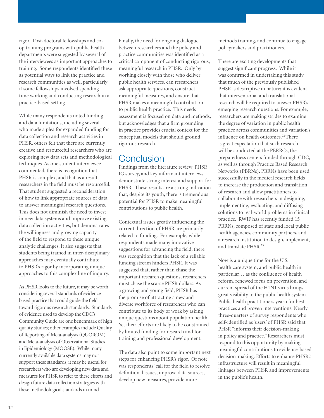rigor. Post-doctoral fellowships and coop training programs with public health departments were suggested by several of the interviewees as important approaches to training. Some respondents identified these as potential ways to link the practice and research communities as well, particularly if some fellowships involved spending time working and conducting research in a practice-based setting.

While many respondents noted funding and data limitations, including several who made a plea for expanded funding for data collection and research activities in PHSR, others felt that there are currently creative and resourceful researchers who are exploring new data sets and methodological techniques. As one student interviewee commented, there is recognition that PHSR is complex, and that as a result, researchers in the field must be resourceful. That student suggested a reconsideration of how to link appropriate sources of data to answer meaningful research questions. This does not diminish the need to invest in new data systems and improve existing data collection activities, but demonstrates the willingness and growing capacity of the field to respond to these unique analytic challenges. It also suggests that students being trained in inter-disciplinary approaches may eventually contribute to PHSR's rigor by incorporating unique approaches to this complex line of inquiry.

As PHSR looks to the future, it may be worth considering several standards of evidencebased practice that could guide the field toward rigorous research standards. Standards of evidence used to develop the CDC's Community Guide are one benchmark of high quality studies; other examples include Quality of Reporting of Meta-analysis (QUOROM) and Meta-analysis of Observational Studies in Epidemiology (MOOSE). While many currently available data systems may not support these standards, it may be useful for researchers who are developing new data and measures for PHSR to refer to these efforts and design future data collection strategies with these methodological standards in mind.

Finally, the need for ongoing dialogue between researchers and the policy and practice communities was identified as a critical component of conducting rigorous, meaningful research in PHSR. Only by working closely with those who deliver public health services, can researchers ask appropriate questions, construct meaningful measures, and ensure that PHSR makes a meaningful contribution to public health practice. This needs assessment is focused on data and methods, but acknowledges that a firm grounding in practice provides crucial context for the conceptual models that should ground rigorous research.

## **Conclusion**

Findings from the literature review, PHSR IG survey, and key informant interviews demonstrate strong interest and support for PHSR. These results are a strong indication that, despite its youth, there is tremendous potential for PHSR to make meaningful contributions to public health.

Contextual issues greatly influencing the current direction of PHSR are primarily related to funding. For example, while respondents made many innovative suggestions for advancing the field, there was recognition that the lack of a reliable funding stream hinders PHSR. It was suggested that, rather than chase the important research questions, researchers must chase the scarce PHSR dollars. As a growing and young field, PHSR has the promise of attracting a new and diverse workforce of researchers who can contribute to its body of work by asking unique questions about population health. Yet their efforts are likely to be constrained by limited funding for research and for training and professional development.

The data also point to some important next steps for enhancing PHSR's rigor. Of note was respondents' call for the field to resolve definitional issues, improve data sources, develop new measures, provide more

methods training, and continue to engage policymakers and practitioners.

There are exciting developments that suggest significant progress. While it was confirmed in undertaking this study that much of the previously published PHSR is descriptive in nature; it is evident that interventional and translational research will be required to answer PHSR's emerging research questions. For example, researchers are making strides to examine the degree of variation in public health practice across communities and variation's influence on health outcomes.<sup>22</sup> There is great expectation that such research will be conducted at the PERRCs, the preparedness centers funded through CDC, as well as through Practice Based Research Networks (PBRNs). PBRNs have been used successfully in the medical research fields to increase the production and translation of research and allow practitioners to collaborate with researchers in designing, implementing, evaluating, and diffusing solutions to real-world problems in clinical practice. RWJF has recently funded 15 PBRNs, composed of state and local public health agencies, community partners, and a research institution to design, implement, and translate PHSR.23

Now is a unique time for the U.S. health care system, and public health in particular… as the confluence of health reform, renewed focus on prevention, and current spread of the H1N1 virus brings great visibility to the public health system. Public health practitioners yearn for best practices and proven interventions. Nearly three-quarters of survey respondents who self-identified as 'users' of PHSR said that PHSR "informs their decision-making in policy and practice." Researchers must respond to this opportunity by making meaningful contributions to evidence-based decision-making. Efforts to enhance PHSR's infrastructure will result in meaningful linkages between PHSR and improvements in the public's health.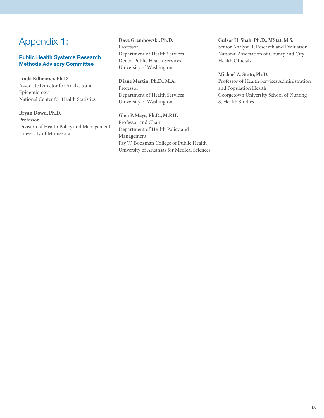# Appendix 1:

#### Public Health Systems Research Methods Advisory Committee

#### **Linda Bilheimer, Ph.D.**

Associate Director for Analysis and Epidemiology National Center for Health Statistics

#### **Bryan Dowd, Ph.D.**

Professor Division of Health Policy and Management University of Minnesota

#### **Dave Grembowski, Ph.D.** Professor Department of Health Services Dental Public Health Services University of Washington

**Diane Martin, Ph.D., M.A.** Professor Department of Health Services University of Washington

**Glen P. Mays, Ph.D., M.P.H.** Professor and Chair Department of Health Policy and Management Fay W. Boozman College of Public Health University of Arkansas for Medical Sciences

#### **Gulzar H. Shah**, **Ph.D., MStat, M.S.**

Senior Analyst II, Research and Evaluation National Association of County and City Health Officials

#### **Michael A. Stoto, Ph.D.**

Professor of Health Services Administration and Population Health Georgetown University School of Nursing & Health Studies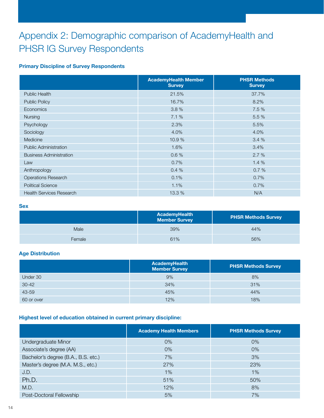# Appendix 2: Demographic comparison of AcademyHealth and PHSR IG Survey Respondents

#### Primary Discipline of Survey Respondents

|                                 | <b>AcademyHealth Member</b><br><b>Survey</b> | <b>PHSR Methods</b><br><b>Survey</b> |
|---------------------------------|----------------------------------------------|--------------------------------------|
| Public Health                   | 21.5%                                        | 37.7%                                |
| <b>Public Policy</b>            | 16.7%                                        | 8.2%                                 |
| <b>Economics</b>                | 3.8%                                         | 7.5 %                                |
| Nursing                         | 7.1 %                                        | 5.5 %                                |
| Psychology                      | 2.3%                                         | 5.5%                                 |
| Sociology                       | 4.0%                                         | 4.0%                                 |
| Medicine                        | 10.9%                                        | 3.4%                                 |
| <b>Public Administration</b>    | 1.6%                                         | 3.4%                                 |
| <b>Business Administration</b>  | 0.6%                                         | 2.7%                                 |
| Law                             | 0.7%                                         | 1.4%                                 |
| Anthropology                    | 0.4 %                                        | 0.7%                                 |
| <b>Operations Research</b>      | 0.1%                                         | 0.7%                                 |
| <b>Political Science</b>        | 1.1%                                         | 0.7%                                 |
| <b>Health Services Research</b> | 13.3 %                                       | N/A                                  |

#### **Sex**

|        | <b>AcademyHealth</b><br><b>Member Survey</b> | <b>PHSR Methods Survey</b> |
|--------|----------------------------------------------|----------------------------|
| Male   | 39%                                          | 44%                        |
| Female | 61%                                          | 56%                        |

#### Age Distribution

|            | <b>AcademyHealth</b><br><b>Member Survey</b> | <b>PHSR Methods Survey</b> |
|------------|----------------------------------------------|----------------------------|
| Under 30   | 9%                                           | 8%                         |
| $30 - 42$  | 34%                                          | 31%                        |
| 43-59      | 45%                                          | 44%                        |
| 60 or over | 12%                                          | 18%                        |

#### Highest level of education obtained in current primary discipline:

|                                     | <b>Academy Health Members</b> | <b>PHSR Methods Survey</b> |
|-------------------------------------|-------------------------------|----------------------------|
| Undergraduate Minor                 | $0\%$                         | $0\%$                      |
| Associate's degree (AA)             | $0\%$                         | $0\%$                      |
| Bachelor's degree (B.A., B.S. etc.) | 7%                            | 3%                         |
| Master's degree (M.A. M.S., etc.)   | 27%                           | 23%                        |
| J.D.                                | 1%                            | 1%                         |
| Ph.D.                               | 51%                           | 50%                        |
| M.D.                                | 12%                           | 8%                         |
| Post-Doctoral Fellowship            | 5%                            | 7%                         |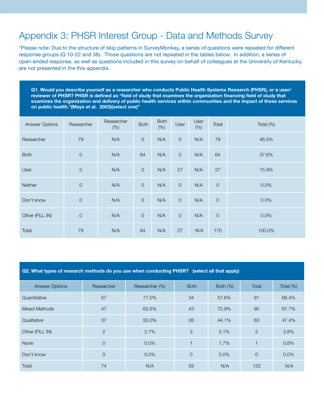# Appendix 3: PHSR Interest Group - Data and Methods Survey

\*Please note: Due to the structure of skip patterns in SurveyMonkey, a series of questions were repeated for different response groups (Q 10-22 and 38). Those questions are not repeated in the tables below. In addition, a series of open-ended response, as well as questions included in this survey on behalf of colleagues at the University of Kentucky, are not presented in the this appendix.

Q1. Would you describe yourself as a researcher who conducts Public Health Systems Research (PHSR), or a user/ reviewer of PHSR? PHSR is defined as "field of study that examines the organization financing field of study that examines the organization and delivery of public health services within communities and the impact of these services on public health."(Mays et al. 2003)(select one)"

| <b>Answer Options</b> | Researcher     | Researcher<br>(% ) | <b>Both</b> | <b>Both</b><br>(% ) | User                | User<br>(% ) | Total       | Total (%) |
|-----------------------|----------------|--------------------|-------------|---------------------|---------------------|--------------|-------------|-----------|
| Researcher            | 79             | N/A                | $\circ$     | N/A                 | $\mathsf{O}\xspace$ | N/A          | 79          | 46.5%     |
| <b>Both</b>           | $\mathsf{O}$   | N/A                | 64          | N/A                 | $\mathsf{O}\xspace$ | N/A          | 64          | 37.6%     |
| User                  | $\mathsf{O}$   | N/A                | $\circ$     | N/A                 | 27                  | N/A          | 27          | 15.9%     |
| Neither               | $\mathbf 0$    | N/A                | $\mathbf 0$ | N/A                 | $\mathsf{O}\xspace$ | N/A          | $\mathsf O$ | 0.0%      |
| Don't know            | $\overline{0}$ | N/A                | $\circ$     | N/A                 | $\mathsf{O}\xspace$ | N/A          | $\mathsf O$ | 0.0%      |
| Other (FILL IN)       | $\overline{0}$ | N/A                | $\circ$     | N/A                 | $\mathsf{O}$        | N/A          | $\mathsf O$ | 0.0%      |
| Total                 | 79             | N/A                | 64          | N/A                 | 27                  | N/A          | 170         | 100.0%    |

| Q2. What types of research methods do you use when conducting PHSR? (select all that apply) |                |                |             |             |                |           |  |  |  |  |
|---------------------------------------------------------------------------------------------|----------------|----------------|-------------|-------------|----------------|-----------|--|--|--|--|
| <b>Answer Options</b>                                                                       | Researcher     | Researcher (%) | <b>Both</b> | Both $(\%)$ | Total          | Total (%) |  |  |  |  |
| Quantitative                                                                                | 57             | 77.0%          | 34          | 57.6%       | 91             | 68.4%     |  |  |  |  |
| Mixed Methods                                                                               | 47             | 63.5%          | 43          | 72.9%       | 90             | 67.7%     |  |  |  |  |
| Qualitative                                                                                 | 37             | 50.0%          | 26          | 44.1%       | 63             | 47.4%     |  |  |  |  |
| Other (FILL IN)                                                                             | 2              | 2.7%           | 3           | 5.1%        | 5              | 3.8%      |  |  |  |  |
| <b>None</b>                                                                                 | $\overline{O}$ | $0.0\%$        | $\mathbf 1$ | 1.7%        | $\overline{1}$ | 0.8%      |  |  |  |  |
| Don't know                                                                                  | $\overline{O}$ | $0.0\%$        | $\Omega$    | $0.0\%$     | $\Omega$       | $0.0\%$   |  |  |  |  |
| Total                                                                                       | 74             | N/A            | 59          | N/A         | 133            | N/A       |  |  |  |  |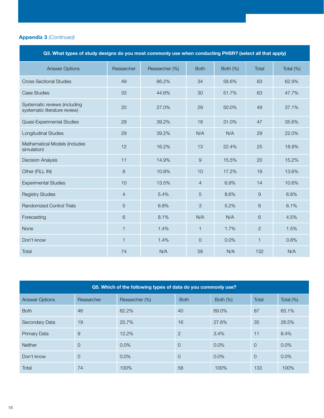| Q3. What types of study designs do you most commonly use when conducting PHSR? (select all that apply) |                |                |                |          |                |           |  |  |
|--------------------------------------------------------------------------------------------------------|----------------|----------------|----------------|----------|----------------|-----------|--|--|
| <b>Answer Options</b>                                                                                  | Researcher     | Researcher (%) | <b>Both</b>    | Both (%) | Total          | Total (%) |  |  |
| <b>Cross-Sectional Studies</b>                                                                         | 49             | 66.2%          | 34             | 58.6%    | 83             | 62.9%     |  |  |
| <b>Case Studies</b>                                                                                    | 33             | 44.6%          | 30             | 51.7%    | 63             | 47.7%     |  |  |
| Systematic reviews (including<br>systematic literature review)                                         | 20             | 27.0%          | 29             | 50.0%    | 49             | 37.1%     |  |  |
| Quasi-Experimental Studies                                                                             | 29             | 39.2%          | 18             | 31.0%    | 47             | 35.6%     |  |  |
| Longitudinal Studies                                                                                   | 29             | 39.2%          | N/A            | N/A      | 29             | 22.0%     |  |  |
| Mathematical Models (includes<br>simulation)                                                           | 12             | 16.2%          | 13             | 22.4%    | 25             | 18.9%     |  |  |
| <b>Decision Analysis</b>                                                                               | 11             | 14.9%          | $\overline{9}$ | 15.5%    | 20             | 15.2%     |  |  |
| Other (FILL IN)                                                                                        | 8              | 10.8%          | 10             | 17.2%    | 18             | 13.6%     |  |  |
| <b>Experimental Studies</b>                                                                            | 10             | 13.5%          | $\overline{4}$ | 6.9%     | 14             | 10.6%     |  |  |
| <b>Registry Studies</b>                                                                                | $\overline{4}$ | 5.4%           | 5              | 8.6%     | 9              | 6.8%      |  |  |
| <b>Randomized Control Trials</b>                                                                       | $\overline{5}$ | 6.8%           | 3              | 5.2%     | 8              | 6.1%      |  |  |
| Forecasting                                                                                            | 6              | 8.1%           | N/A            | N/A      | 6              | 4.5%      |  |  |
| None                                                                                                   | $\mathbf{1}$   | 1.4%           | $\mathbf{1}$   | 1.7%     | $\overline{2}$ | 1.5%      |  |  |
| Don't know                                                                                             | $\mathbf{1}$   | 1.4%           | $\mathbf 0$    | 0.0%     | $\mathbf{1}$   | 0.8%      |  |  |
| Total                                                                                                  | 74             | N/A            | 58             | N/A      | 132            | N/A       |  |  |

| Q5. Which of the following types of data do you commonly use? |                |                |                |             |          |           |  |  |  |
|---------------------------------------------------------------|----------------|----------------|----------------|-------------|----------|-----------|--|--|--|
| <b>Answer Options</b>                                         | Researcher     | Researcher (%) | <b>Both</b>    | Both $(\%)$ | Total    | Total (%) |  |  |  |
| <b>Both</b>                                                   | 46             | 62.2%          | 40             | 69.0%       | 87       | 65.1%     |  |  |  |
| Secondary Data                                                | 19             | 25.7%          | 16             | 27.6%       | 35       | 26.5%     |  |  |  |
| <b>Primary Data</b>                                           | 9              | 12.2%          | $\overline{2}$ | 3.4%        | 11       | 8.4%      |  |  |  |
| <b>Neither</b>                                                | $\overline{0}$ | 0.0%           | $\overline{0}$ | 0.0%        | $\Omega$ | 0.0%      |  |  |  |
| Don't know                                                    | $\overline{0}$ | $0.0\%$        | $\Omega$       | $0.0\%$     | $\Omega$ | $0.0\%$   |  |  |  |
| Total                                                         | 74             | 100%           | 58             | 100%        | 133      | 100%      |  |  |  |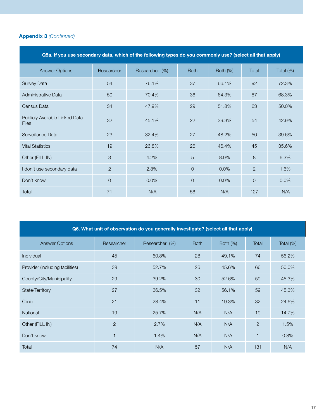| Q5a. If you use secondary data, which of the following types do you commonly use? (select all that apply) |                |                |                |          |                |           |  |  |  |
|-----------------------------------------------------------------------------------------------------------|----------------|----------------|----------------|----------|----------------|-----------|--|--|--|
| <b>Answer Options</b>                                                                                     | Researcher     | Researcher (%) | <b>Both</b>    | Both (%) | <b>Total</b>   | Total (%) |  |  |  |
| Survey Data                                                                                               | 54             | 76.1%          | 37             | 66.1%    | 92             | 72.3%     |  |  |  |
| Administrative Data                                                                                       | 50             | 70.4%          | 36             | 64.3%    | 87             | 68.3%     |  |  |  |
| Census Data                                                                                               | 34             | 47.9%          | 29             | 51.8%    | 63             | 50.0%     |  |  |  |
| Publicly Available Linked Data<br><b>Files</b>                                                            | 32             | 45.1%          | 22             | 39.3%    | 54             | 42.9%     |  |  |  |
| Surveillance Data                                                                                         | 23             | 32.4%          | 27             | 48.2%    | 50             | 39.6%     |  |  |  |
| <b>Vital Statistics</b>                                                                                   | 19             | 26.8%          | 26             | 46.4%    | 45             | 35.6%     |  |  |  |
| Other (FILL IN)                                                                                           | 3              | 4.2%           | 5              | 8.9%     | 8              | 6.3%      |  |  |  |
| I don't use secondary data                                                                                | $\overline{2}$ | 2.8%           | $\overline{O}$ | 0.0%     | 2              | 1.6%      |  |  |  |
| Don't know                                                                                                | $\overline{0}$ | 0.0%           | $\overline{O}$ | 0.0%     | $\overline{O}$ | 0.0%      |  |  |  |
| Total                                                                                                     | 71             | N/A            | 56             | N/A      | 127            | N/A       |  |  |  |

| Q6. What unit of observation do you generally investigate? (select all that apply) |                |                |             |             |       |              |  |  |  |
|------------------------------------------------------------------------------------|----------------|----------------|-------------|-------------|-------|--------------|--|--|--|
| <b>Answer Options</b>                                                              | Researcher     | Researcher (%) | <b>Both</b> | Both $(\%)$ | Total | Total $(\%)$ |  |  |  |
| <b>Individual</b>                                                                  | 45             | 60.8%          | 28          | 49.1%       | 74    | 56.2%        |  |  |  |
| Provider (including facilities)                                                    | 39             | 52.7%          | 26          | 45.6%       | 66    | 50.0%        |  |  |  |
| County/City/Municipality                                                           | 29             | 39.2%          | 30          | 52.6%       | 59    | 45.3%        |  |  |  |
| State/Territory                                                                    | 27             | 36.5%          | 32          | 56.1%       | 59    | 45.3%        |  |  |  |
| <b>Clinic</b>                                                                      | 21             | 28.4%          | 11          | 19.3%       | 32    | 24.6%        |  |  |  |
| National                                                                           | 19             | 25.7%          | N/A         | N/A         | 19    | 14.7%        |  |  |  |
| Other (FILL IN)                                                                    | $\overline{2}$ | 2.7%           | N/A         | N/A         | 2     | 1.5%         |  |  |  |
| Don't know                                                                         | $\mathbf{1}$   | 1.4%           | N/A         | N/A         | 1     | 0.8%         |  |  |  |
| Total                                                                              | 74             | N/A            | 57          | N/A         | 131   | N/A          |  |  |  |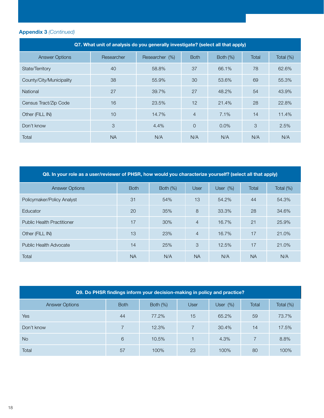| Q7. What unit of analysis do you generally investigate? (select all that apply) |            |                |                |          |       |              |  |  |  |
|---------------------------------------------------------------------------------|------------|----------------|----------------|----------|-------|--------------|--|--|--|
| <b>Answer Options</b>                                                           | Researcher | Researcher (%) | <b>Both</b>    | Both (%) | Total | Total $(\%)$ |  |  |  |
| State/Territory                                                                 | 40         | 58.8%          | 37             | 66.1%    | 78    | 62.6%        |  |  |  |
| County/City/Municipality                                                        | 38         | 55.9%          | 30             | 53.6%    | 69    | 55.3%        |  |  |  |
| <b>National</b>                                                                 | 27         | 39.7%          | 27             | 48.2%    | 54    | 43.9%        |  |  |  |
| Census Tract/Zip Code                                                           | 16         | 23.5%          | 12             | 21.4%    | 28    | 22.8%        |  |  |  |
| Other (FILL IN)                                                                 | 10         | 14.7%          | $\overline{4}$ | 7.1%     | 14    | 11.4%        |  |  |  |
| Don't know                                                                      | 3          | 4.4%           | $\overline{0}$ | 0.0%     | 3     | 2.5%         |  |  |  |
| Total                                                                           | <b>NA</b>  | N/A            | N/A            | N/A      | N/A   | N/A          |  |  |  |

| Q8. In your role as a user/reviewer of PHSR, how would you characterize yourself? (select all that apply) |             |             |                |             |           |              |  |  |
|-----------------------------------------------------------------------------------------------------------|-------------|-------------|----------------|-------------|-----------|--------------|--|--|
| <b>Answer Options</b>                                                                                     | <b>Both</b> | Both $(\%)$ | <b>User</b>    | User $(\%)$ | Total     | Total $(\%)$ |  |  |
| Policymaker/Policy Analyst                                                                                | 31          | 54%         | 13             | 54.2%       | 44        | 54.3%        |  |  |
| Educator                                                                                                  | 20          | 35%         | 8              | 33.3%       | 28        | 34.6%        |  |  |
| <b>Public Health Practitioner</b>                                                                         | 17          | 30%         | $\overline{4}$ | 16.7%       | 21        | 25.9%        |  |  |
| Other (FILL IN)                                                                                           | 13          | 23%         | $\overline{4}$ | 16.7%       | 17        | 21.0%        |  |  |
| Public Health Advocate                                                                                    | 14          | 25%         | 3              | 12.5%       | 17        | 21.0%        |  |  |
| Total                                                                                                     | <b>NA</b>   | N/A         | <b>NA</b>      | N/A         | <b>NA</b> | N/A          |  |  |

| Q9. Do PHSR findings inform your decision-making in policy and practice? |             |          |                |             |                |              |  |  |  |  |
|--------------------------------------------------------------------------|-------------|----------|----------------|-------------|----------------|--------------|--|--|--|--|
| <b>Answer Options</b>                                                    | <b>Both</b> | Both (%) | <b>User</b>    | User $(\%)$ | Total          | Total $(\%)$ |  |  |  |  |
| <b>Yes</b>                                                               | 44          | 77.2%    | 15             | 65.2%       | 59             | 73.7%        |  |  |  |  |
| Don't know                                                               |             | 12.3%    | $\overline{7}$ | 30.4%       | 14             | 17.5%        |  |  |  |  |
| <b>No</b>                                                                | 6           | 10.5%    |                | 4.3%        | $\overline{7}$ | 8.8%         |  |  |  |  |
| Total                                                                    | 57          | 100%     | 23             | 100%        | 80             | 100%         |  |  |  |  |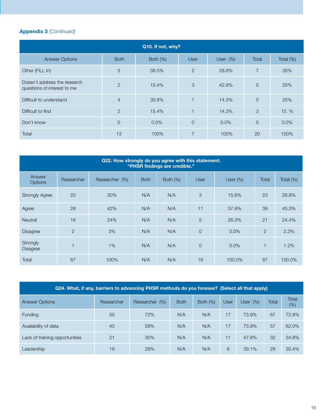| Q10. If not, why?                                           |                |          |                          |             |                |           |  |  |  |  |  |
|-------------------------------------------------------------|----------------|----------|--------------------------|-------------|----------------|-----------|--|--|--|--|--|
| <b>Answer Options</b>                                       | <b>Both</b>    | Both (%) | <b>User</b>              | User $(\%)$ | Total          | Total (%) |  |  |  |  |  |
| Other (FILL In)                                             | 5              | 38.5%    | 2                        | 28.6%       | $\overline{7}$ | 35%       |  |  |  |  |  |
| Doesn't address the research<br>questions of interest to me | $\overline{2}$ | 15.4%    | 3                        | 42.9%       | 5              | 25%       |  |  |  |  |  |
| Difficult to understand                                     | $\overline{4}$ | 30.8%    | $\overline{\phantom{0}}$ | 14.3%       | 5              | 25%       |  |  |  |  |  |
| Difficult to find                                           | $\overline{2}$ | 15.4%    |                          | 14.3%       | 3              | 15. %     |  |  |  |  |  |
| Don't know                                                  | $\overline{0}$ | 0.0%     | $\overline{O}$           | $0.0\%$     | $\overline{0}$ | 0.0%      |  |  |  |  |  |
| Total                                                       | 13             | 100%     | $\overline{7}$           | 100%        | 20             | 100%      |  |  |  |  |  |

| Q22. How strongly do you agree with this statement:<br>"PHSR findings are credible." |                |                |             |             |                |             |                |           |  |  |  |  |
|--------------------------------------------------------------------------------------|----------------|----------------|-------------|-------------|----------------|-------------|----------------|-----------|--|--|--|--|
| Answer<br>Options                                                                    | Researcher     | Researcher (%) | <b>Both</b> | Both $(\%)$ | <b>User</b>    | User $(\%)$ | Total          | Total (%) |  |  |  |  |
| <b>Strongly Agree</b>                                                                | 20             | 30%            | N/A         | N/A         | 3              | 15.8%       | 23             | 26.8%     |  |  |  |  |
| Agree                                                                                | 28             | 42%            | N/A         | N/A         | 11             | 57.9%       | 39             | 45.3%     |  |  |  |  |
| <b>Neutral</b>                                                                       | 16             | 24%            | N/A         | N/A         | 5              | 26.3%       | 21             | 24.4%     |  |  |  |  |
| <b>Disagree</b>                                                                      | $\overline{2}$ | 3%             | N/A         | N/A         | $\Omega$       | 0.0%        | $\overline{2}$ | 2.3%      |  |  |  |  |
| Strongly<br><b>Disagree</b>                                                          |                | 1%             | N/A         | N/A         | $\overline{0}$ | 0.0%        |                | 1.2%      |  |  |  |  |
| Total                                                                                | 67             | 100%           | N/A         | N/A         | 19             | 100.0%      | 87             | 100.0%    |  |  |  |  |

| Q24. What, if any, barriers to advancing PHSR methods do you foresee? (Select all that apply) |            |                |             |             |             |            |       |              |  |  |  |
|-----------------------------------------------------------------------------------------------|------------|----------------|-------------|-------------|-------------|------------|-------|--------------|--|--|--|
| <b>Answer Options</b>                                                                         | Researcher | Researcher (%) | <b>Both</b> | Both $(\%)$ | <b>User</b> | User $(%)$ | Total | Total<br>(%) |  |  |  |
| <b>Funding</b>                                                                                | 50         | 72%            | N/A         | N/A         | 17          | 73.9%      | 67    | 72.8%        |  |  |  |
| Availability of data                                                                          | 40         | 58%            | N/A         | N/A         | 17          | 73.9%      | 57    | 62.0%        |  |  |  |
| Lack of training opportunities                                                                | 21         | 30%            | N/A         | N/A         | 11          | 47.8%      | 32    | 34.8%        |  |  |  |
| Leadership                                                                                    | 19         | 28%            | N/A         | N/A         | 9           | 39.1%      | 28    | 30.4%        |  |  |  |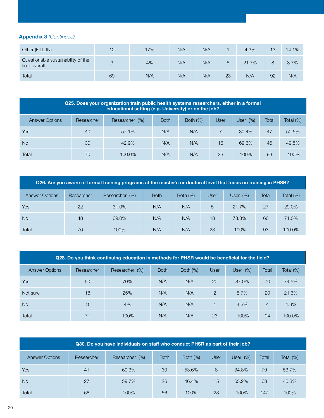| Other (FILL IN)                                     | 12 | 17% | N/A | N/A |    | 4.3%  | 13 | 14.1% |
|-----------------------------------------------------|----|-----|-----|-----|----|-------|----|-------|
| Questionable sustainability of the<br>field overall | 3  | 4%  | N/A | N/A |    | 21.7% |    | 8.7%  |
| Total                                               | 69 | N/A | N/A | N/A | 23 | N/A   | 92 | N/A   |

| Q25. Does your organization train public health systems researchers, either in a formal<br>educational setting (e.g. University) or on the job? |            |                    |             |             |      |             |       |              |  |  |
|-------------------------------------------------------------------------------------------------------------------------------------------------|------------|--------------------|-------------|-------------|------|-------------|-------|--------------|--|--|
| <b>Answer Options</b>                                                                                                                           | Researcher | Researcher<br>(% ) | <b>Both</b> | Both $(\%)$ | User | User $(\%)$ | Total | Total $(\%)$ |  |  |
| Yes                                                                                                                                             | 40         | $57.1\%$           | N/A         | N/A         |      | $30.4\%$    | 47    | 50.5%        |  |  |
| <b>No</b>                                                                                                                                       | 30         | 42.9%              | N/A         | N/A         | 16   | 69.6%       | 46    | 49.5%        |  |  |
| Total                                                                                                                                           | 70         | 100.0%             | N/A         | N/A         | 23   | 100%        | 93    | 100%         |  |  |

| Q26. Are you aware of formal training programs at the master's or doctoral level that focus on training in PHSR? |            |                    |             |             |             |             |       |              |  |  |
|------------------------------------------------------------------------------------------------------------------|------------|--------------------|-------------|-------------|-------------|-------------|-------|--------------|--|--|
| <b>Answer Options</b>                                                                                            | Researcher | Researcher<br>(% ) | <b>Both</b> | Both $(\%)$ | <b>User</b> | User $(\%)$ | Total | Total $(\%)$ |  |  |
| Yes                                                                                                              | 22         | 31.0%              | N/A         | N/A         | 5           | 21.7%       | 27    | 29.0%        |  |  |
| <b>No</b>                                                                                                        | 48         | 69.0%              | N/A         | N/A         | 18          | 78.3%       | 66    | 71.0%        |  |  |
| Total                                                                                                            | 70         | 100%               | N/A         | N/A         | 23          | 100%        | 93    | 100.0%       |  |  |

| Q28. Do you think continuing education in methods for PHSR would be beneficial for the field? |            |                    |             |             |               |             |                |              |  |  |
|-----------------------------------------------------------------------------------------------|------------|--------------------|-------------|-------------|---------------|-------------|----------------|--------------|--|--|
| <b>Answer Options</b>                                                                         | Researcher | Researcher<br>(% ) | <b>Both</b> | Both $(\%)$ | User          | User $(\%)$ | Total          | Total $(\%)$ |  |  |
| Yes                                                                                           | 50         | 70%                | N/A         | N/A         | 20            | 87.0%       | 70             | 74.5%        |  |  |
| Not sure                                                                                      | 18         | 25%                | N/A         | N/A         | $\mathcal{P}$ | 8.7%        | 20             | 21.3%        |  |  |
| <b>No</b>                                                                                     | 3          | 4%                 | N/A         | N/A         |               | 4.3%        | $\overline{4}$ | 4.3%         |  |  |
| Total                                                                                         | 71         | 100%               | N/A         | N/A         | 23            | 100%        | 94             | 100.0%       |  |  |

| Q30. Do you have individuals on staff who conduct PHSR as part of their job? |            |                |             |             |             |             |       |           |  |  |
|------------------------------------------------------------------------------|------------|----------------|-------------|-------------|-------------|-------------|-------|-----------|--|--|
| <b>Answer Options</b>                                                        | Researcher | Researcher (%) | <b>Both</b> | Both $(\%)$ | <b>User</b> | User $(\%)$ | Total | Total (%) |  |  |
| Yes                                                                          | 41         | 60.3%          | 30          | 53.6%       | 8           | 34.8%       | 79    | 53.7%     |  |  |
| <b>No</b>                                                                    | 27         | 39.7%          | 26          | 46.4%       | 15          | 65.2%       | 68    | 46.3%     |  |  |
| Total                                                                        | 68         | 100%           | 56          | 100%        | 23          | 100%        | 147   | 100%      |  |  |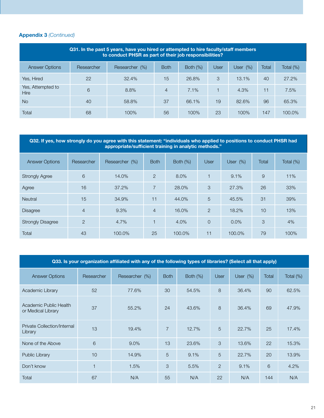| Q31. In the past 5 years, have you hired or attempted to hire faculty/staff members<br>to conduct PHSR as part of their job responsibilities? |            |                |             |             |      |            |       |           |  |  |
|-----------------------------------------------------------------------------------------------------------------------------------------------|------------|----------------|-------------|-------------|------|------------|-------|-----------|--|--|
| <b>Answer Options</b>                                                                                                                         | Researcher | Researcher (%) | <b>Both</b> | Both $(\%)$ | User | User $(%)$ | Total | Total (%) |  |  |
| Yes, Hired                                                                                                                                    | 22         | 32.4%          | 15          | 26.8%       | 3    | 13.1%      | 40    | 27.2%     |  |  |
| Yes, Attempted to<br><b>Hire</b>                                                                                                              | 6          | 8.8%           | 4           | 7.1%        |      | 4.3%       | 11    | 7.5%      |  |  |
| <b>No</b>                                                                                                                                     | 40         | 58.8%          | 37          | 66.1%       | 19   | 82.6%      | 96    | 65.3%     |  |  |
| Total                                                                                                                                         | 68         | 100%           | 56          | 100%        | 23   | 100%       | 147   | 100.0%    |  |  |

#### Q32. If yes, how strongly do you agree with this statement: "individuals who applied to positions to conduct PHSR had appropriate/sufficient training in analytic methods."

| <b>Answer Options</b>    | Researcher     | Researcher (%) | <b>Both</b>    | Both $(\%)$ | <b>User</b>    | User $(\%)$ | <b>Total</b>   | Total (%) |
|--------------------------|----------------|----------------|----------------|-------------|----------------|-------------|----------------|-----------|
| <b>Strongly Agree</b>    | 6              | 14.0%          | $\overline{2}$ | 8.0%        | 1              | 9.1%        | $\overline{9}$ | 11%       |
| Agree                    | 16             | 37.2%          | $\overline{7}$ | 28.0%       | 3              | 27.3%       | 26             | 33%       |
| <b>Neutral</b>           | 15             | 34.9%          | 11             | 44.0%       | 5              | 45.5%       | 31             | 39%       |
| <b>Disagree</b>          | $\overline{4}$ | 9.3%           | $\overline{4}$ | 16.0%       | $\overline{2}$ | 18.2%       | 10             | 13%       |
| <b>Strongly Disagree</b> | $\overline{2}$ | 4.7%           |                | 4.0%        | 0              | 0.0%        | 3              | 4%        |
| Total                    | 43             | 100.0%         | 25             | 100.0%      | 11             | 100.0%      | 79             | 100%      |

|                                              | Q33. Is your organization affiliated with any of the following types of libraries? (Select all that apply) |                |                |             |                |             |       |              |  |  |  |  |
|----------------------------------------------|------------------------------------------------------------------------------------------------------------|----------------|----------------|-------------|----------------|-------------|-------|--------------|--|--|--|--|
| <b>Answer Options</b>                        | Researcher                                                                                                 | Researcher (%) | <b>Both</b>    | Both $(\%)$ | <b>User</b>    | User $(\%)$ | Total | Total $(\%)$ |  |  |  |  |
| Academic Library                             | 52                                                                                                         | 77.6%          | 30             | 54.5%       | 8              | 36.4%       | 90    | 62.5%        |  |  |  |  |
| Academic Public Health<br>or Medical Library | 37                                                                                                         | 55.2%          | 24             | 43.6%       | 8              | 36.4%       | 69    | 47.9%        |  |  |  |  |
| Private Collection/Internal<br>Library       | 13                                                                                                         | 19.4%          | $\overline{7}$ | 12.7%       | 5              | 22.7%       | 25    | 17.4%        |  |  |  |  |
| None of the Above                            | 6                                                                                                          | $9.0\%$        | 13             | 23.6%       | 3              | 13.6%       | 22    | 15.3%        |  |  |  |  |
| Public Library                               | 10                                                                                                         | 14.9%          | 5              | 9.1%        | 5              | 22.7%       | 20    | 13.9%        |  |  |  |  |
| Don't know                                   |                                                                                                            | 1.5%           | 3              | 5.5%        | $\overline{2}$ | 9.1%        | 6     | 4.2%         |  |  |  |  |
| Total                                        | 67                                                                                                         | N/A            | 55             | N/A         | 22             | N/A         | 144   | N/A          |  |  |  |  |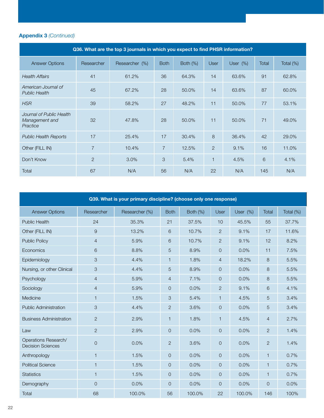| Q36. What are the top 3 journals in which you expect to find PHSR information? |                |                |                |             |              |          |       |              |  |  |
|--------------------------------------------------------------------------------|----------------|----------------|----------------|-------------|--------------|----------|-------|--------------|--|--|
| <b>Answer Options</b>                                                          | Researcher     | Researcher (%) | <b>Both</b>    | Both $(\%)$ | <b>User</b>  | User (%) | Total | Total $(\%)$ |  |  |
| <b>Health Affairs</b>                                                          | 41             | 61.2%          | 36             | 64.3%       | 14           | 63.6%    | 91    | 62.8%        |  |  |
| American Journal of<br><b>Public Health</b>                                    | 45             | 67.2%          | 28             | 50.0%       | 14           | 63.6%    | 87    | 60.0%        |  |  |
| <b>HSR</b>                                                                     | 39             | 58.2%          | 27             | 48.2%       | 11           | 50.0%    | 77    | 53.1%        |  |  |
| Journal of Public Health<br>Management and<br>Practice                         | 32             | 47.8%          | 28             | 50.0%       | 11           | 50.0%    | 71    | 49.0%        |  |  |
| <b>Public Health Reports</b>                                                   | 17             | 25.4%          | 17             | 30.4%       | 8            | 36.4%    | 42    | 29.0%        |  |  |
| Other (FILL IN)                                                                | $\overline{7}$ | 10.4%          | $\overline{7}$ | 12.5%       | 2            | 9.1%     | 16    | 11.0%        |  |  |
| Don't Know                                                                     | $\overline{2}$ | 3.0%           | 3              | 5.4%        | $\mathbf{1}$ | 4.5%     | 6     | 4.1%         |  |  |
| <b>Total</b>                                                                   | 67             | N/A            | 56             | N/A         | 22           | N/A      | 145   | N/A          |  |  |

| Q39. What is your primary discipline? (choose only one response) |                     |                |                |          |                |          |                |           |  |  |  |
|------------------------------------------------------------------|---------------------|----------------|----------------|----------|----------------|----------|----------------|-----------|--|--|--|
| <b>Answer Options</b>                                            | Researcher          | Researcher (%) | <b>Both</b>    | Both (%) | User           | User (%) | Total          | Total (%) |  |  |  |
| <b>Public Health</b>                                             | 24                  | 35.3%          | 21             | 37.5%    | 10             | 45.5%    | 55             | 37.7%     |  |  |  |
| Other (FILL IN)                                                  | $\overline{9}$      | 13.2%          | 6              | 10.7%    | $\overline{c}$ | 9.1%     | 17             | 11.6%     |  |  |  |
| <b>Public Policy</b>                                             | $\overline{4}$      | 5.9%           | 6              | 10.7%    | $\overline{c}$ | 9.1%     | 12             | 8.2%      |  |  |  |
| Economics                                                        | 6                   | 8.8%           | $\sqrt{5}$     | 8.9%     | 0              | 0.0%     | 11             | 7.5%      |  |  |  |
| Epidemiology                                                     | $\sqrt{3}$          | 4.4%           | 1              | 1.8%     | 4              | 18.2%    | 8              | 5.5%      |  |  |  |
| Nursing, or other Clinical                                       | $\mathcal{S}$       | 4.4%           | 5              | 8.9%     | 0              | 0.0%     | 8              | 5.5%      |  |  |  |
| Psychology                                                       | $\overline{4}$      | 5.9%           | $\overline{4}$ | 7.1%     | 0              | 0.0%     | 8              | 5.5%      |  |  |  |
| Sociology                                                        | $\overline{4}$      | 5.9%           | $\overline{O}$ | 0.0%     | $\overline{c}$ | 9.1%     | 6              | 4.1%      |  |  |  |
| Medicine                                                         | $\mathbf{1}$        | 1.5%           | 3              | 5.4%     | $\mathbf{1}$   | 4.5%     | 5              | 3.4%      |  |  |  |
| <b>Public Administration</b>                                     | $\sqrt{3}$          | 4.4%           | $\overline{2}$ | 3.6%     | 0              | 0.0%     | 5              | 3.4%      |  |  |  |
| <b>Business Administration</b>                                   | 2                   | 2.9%           | $\mathbf{1}$   | 1.8%     | $\mathbf{1}$   | 4.5%     | $\overline{4}$ | 2.7%      |  |  |  |
| Law                                                              | $\overline{2}$      | 2.9%           | $\overline{O}$ | 0.0%     | $\overline{O}$ | 0.0%     | $\overline{2}$ | 1.4%      |  |  |  |
| Operations Research/<br><b>Decision Sciences</b>                 | $\mathsf{O}\xspace$ | 0.0%           | $\overline{2}$ | 3.6%     | 0              | 0.0%     | $\overline{c}$ | 1.4%      |  |  |  |
| Anthropology                                                     | $\mathbf{1}$        | 1.5%           | $\overline{O}$ | 0.0%     | 0              | 0.0%     | $\mathbf{1}$   | 0.7%      |  |  |  |
| <b>Political Science</b>                                         | $\mathbf{1}$        | 1.5%           | $\overline{O}$ | 0.0%     | 0              | 0.0%     | 1              | 0.7%      |  |  |  |
| <b>Statistics</b>                                                | $\mathbf{1}$        | 1.5%           | $\overline{O}$ | 0.0%     | 0              | 0.0%     | 1              | 0.7%      |  |  |  |
| Demography                                                       | $\mathbf{O}$        | 0.0%           | $\overline{O}$ | 0.0%     | $\mathsf O$    | 0.0%     | 0              | 0.0%      |  |  |  |
| Total                                                            | 68                  | 100.0%         | 56             | 100.0%   | 22             | 100.0%   | 146            | 100%      |  |  |  |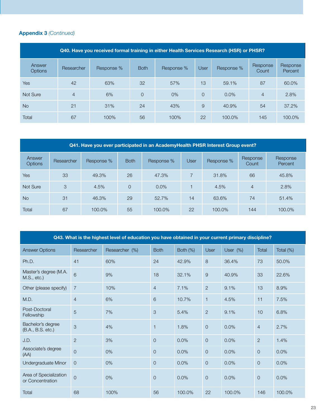| Q40. Have you received formal training in either Health Services Research (HSR) or PHSR? |                |            |                |            |          |            |                   |                     |  |  |  |  |  |
|------------------------------------------------------------------------------------------|----------------|------------|----------------|------------|----------|------------|-------------------|---------------------|--|--|--|--|--|
| Answer<br><b>Options</b>                                                                 | Researcher     | Response % | <b>Both</b>    | Response % | User     | Response % | Response<br>Count | Response<br>Percent |  |  |  |  |  |
| <b>Yes</b>                                                                               | 42             | 63%        | 32             | 57%        | 13       | 59.1%      | 87                | 60.0%               |  |  |  |  |  |
| Not Sure                                                                                 | $\overline{4}$ | 6%         | $\overline{0}$ | $0\%$      | $\Omega$ | 0.0%       | 4                 | 2.8%                |  |  |  |  |  |
| <b>No</b>                                                                                | 21             | 31%        | 24             | 43%        | 9        | 40.9%      | 54                | 37.2%               |  |  |  |  |  |
| Total                                                                                    | 67             | 100%       | 56             | 100%       | 22       | 100.0%     | 145               | 100.0%              |  |  |  |  |  |

| Q41. Have you ever participated in an AcademyHealth PHSR Interest Group event? |            |            |                |            |             |            |                   |                     |  |  |  |  |  |
|--------------------------------------------------------------------------------|------------|------------|----------------|------------|-------------|------------|-------------------|---------------------|--|--|--|--|--|
| Answer<br><b>Options</b>                                                       | Researcher | Response % | <b>Both</b>    | Response % | <b>User</b> | Response % | Response<br>Count | Response<br>Percent |  |  |  |  |  |
| Yes                                                                            | 33         | 49.3%      | 26             | 47.3%      |             | 31.8%      | 66                | 45.8%               |  |  |  |  |  |
| Not Sure                                                                       | 3          | 4.5%       | $\overline{O}$ | $0.0\%$    |             | 4.5%       | $\overline{4}$    | 2.8%                |  |  |  |  |  |
| <b>No</b>                                                                      | 31         | 46.3%      | 29             | 52.7%      | 14          | 63.6%      | 74                | 51.4%               |  |  |  |  |  |
| Total                                                                          | 67         | 100.0%     | 55             | 100.0%     | 22          | 100.0%     | 144               | 100.0%              |  |  |  |  |  |

| Q43. What is the highest level of education you have obtained in your current primary discipline? |                |                |                     |          |                |             |                |           |  |  |
|---------------------------------------------------------------------------------------------------|----------------|----------------|---------------------|----------|----------------|-------------|----------------|-----------|--|--|
| <b>Answer Options</b>                                                                             | Researcher     | Researcher (%) | <b>Both</b>         | Both (%) | User           | User $(\%)$ | Total          | Total (%) |  |  |
| Ph.D.                                                                                             | 41             | 60%            | 24                  | 42.9%    | 8              | 36.4%       | 73             | 50.0%     |  |  |
| Master's degree (M.A.<br>M.S., etc.)                                                              | 6              | 9%             | 18                  | 32.1%    | 9              | 40.9%       | 33             | 22.6%     |  |  |
| Other (please specify)                                                                            | $\overline{7}$ | 10%            | $\overline{4}$      | 7.1%     | $\overline{2}$ | 9.1%        | 13             | 8.9%      |  |  |
| M.D.                                                                                              | $\overline{4}$ | 6%             | 6                   | 10.7%    | $\mathbf{1}$   | 4.5%        | 11             | 7.5%      |  |  |
| Post-Doctoral<br>Fellowship                                                                       | $\overline{5}$ | 7%             | 3                   | 5.4%     | $\overline{2}$ | 9.1%        | 10             | 6.8%      |  |  |
| Bachelor's degree<br>(B.A., B.S. etc.)                                                            | 3              | 4%             | $\mathbf{1}$        | 1.8%     | $\overline{0}$ | 0.0%        | $\overline{4}$ | 2.7%      |  |  |
| J.D.                                                                                              | 2              | 3%             | $\overline{O}$      | 0.0%     | $\overline{0}$ | 0.0%        | 2              | 1.4%      |  |  |
| Associate's degree<br>(AA)                                                                        | $\overline{0}$ | 0%             | 0                   | 0.0%     | $\overline{0}$ | 0.0%        | $\overline{0}$ | 0.0%      |  |  |
| Undergraduate Minor                                                                               | $\overline{0}$ | 0%             | $\overline{O}$      | 0.0%     | $\overline{O}$ | 0.0%        | $\overline{0}$ | 0.0%      |  |  |
| Area of Specialization<br>or Concentration                                                        | $\overline{0}$ | 0%             | $\mathsf{O}\xspace$ | 0.0%     | $\mathbf 0$    | 0.0%        | $\circ$        | 0.0%      |  |  |
| Total                                                                                             | 68             | 100%           | 56                  | 100.0%   | 22             | 100.0%      | 146            | 100.0%    |  |  |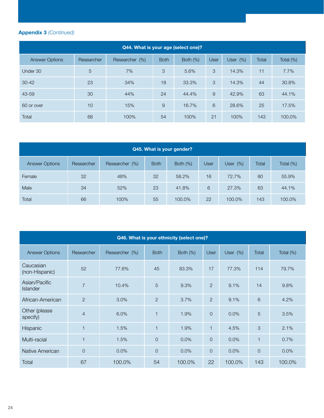| Q44. What is your age (select one)? |            |                |             |             |               |             |              |              |  |  |
|-------------------------------------|------------|----------------|-------------|-------------|---------------|-------------|--------------|--------------|--|--|
| <b>Answer Options</b>               | Researcher | Researcher (%) | <b>Both</b> | Both $(\%)$ | User          | User $(\%)$ | <b>Total</b> | Total $(\%)$ |  |  |
| Under 30                            | 5          | 7%             | 3           | 5.6%        | $\mathcal{S}$ | 14.3%       | 11           | 7.7%         |  |  |
| $30 - 42$                           | 23         | 34%            | 18          | 33.3%       | 3             | 14.3%       | 44           | 30.8%        |  |  |
| 43-59                               | 30         | 44%            | 24          | 44.4%       | 9             | 42.9%       | 63           | 44.1%        |  |  |
| 60 or over                          | 10         | 15%            | 9           | 16.7%       | 6             | 28.6%       | 25           | 17.5%        |  |  |
| Total                               | 68         | 100%           | 54          | 100%        | 21            | 100%        | 143          | 100.0%       |  |  |

| Q45. What is your gender? |            |                |             |             |             |             |       |              |  |  |  |
|---------------------------|------------|----------------|-------------|-------------|-------------|-------------|-------|--------------|--|--|--|
| <b>Answer Options</b>     | Researcher | Researcher (%) | <b>Both</b> | Both $(\%)$ | <b>User</b> | User $(\%)$ | Total | Total $(\%)$ |  |  |  |
| Female                    | 32         | 48%            | 32          | 58.2%       | 16          | 72.7%       | 80    | 55.9%        |  |  |  |
| Male                      | 34         | 52%            | 23          | 41.8%       | 6           | 27.3%       | 63    | 44.1%        |  |  |  |
| Total                     | 66         | 100%           | 55          | 100.0%      | 22          | 100.0%      | 143   | 100.0%       |  |  |  |

| Q46. What is your ethnicity (select one)? |                |                |                         |             |                |             |                |           |  |  |  |  |
|-------------------------------------------|----------------|----------------|-------------------------|-------------|----------------|-------------|----------------|-----------|--|--|--|--|
| <b>Answer Options</b>                     | Researcher     | Researcher (%) | <b>Both</b>             | Both $(\%)$ | <b>User</b>    | User $(\%)$ | Total          | Total (%) |  |  |  |  |
| Caucasian<br>(non-Hispanic)               | 52             | 77.6%          | 45                      | 83.3%       | 17             | 77.3%       | 114            | 79.7%     |  |  |  |  |
| Asian/Pacific<br><b>Islander</b>          | $\overline{7}$ | 10.4%          | 5                       | 9.3%        | $\mathbf{2}$   | 9.1%        | 14             | 9.8%      |  |  |  |  |
| African-American                          | 2              | 3.0%           | $\overline{2}$          | 3.7%        | $\overline{2}$ | 9.1%        | 6              | 4.2%      |  |  |  |  |
| Other (please<br>specify)                 | $\overline{4}$ | 6.0%           | $\overline{\mathbf{1}}$ | 1.9%        | $\overline{O}$ | 0.0%        | 5              | 3.5%      |  |  |  |  |
| Hispanic                                  | 1              | 1.5%           |                         | 1.9%        | 1              | 4.5%        | 3              | 2.1%      |  |  |  |  |
| Multi-racial                              | 1              | 1.5%           | $\overline{O}$          | 0.0%        | $\mathbf{O}$   | 0.0%        | $\mathbf{1}$   | 0.7%      |  |  |  |  |
| Native American                           | $\overline{O}$ | 0.0%           | $\overline{O}$          | 0.0%        | $\mathbf{O}$   | 0.0%        | $\overline{0}$ | 0.0%      |  |  |  |  |
| <b>Total</b>                              | 67             | 100.0%         | 54                      | 100.0%      | 22             | 100.0%      | 143            | 100.0%    |  |  |  |  |